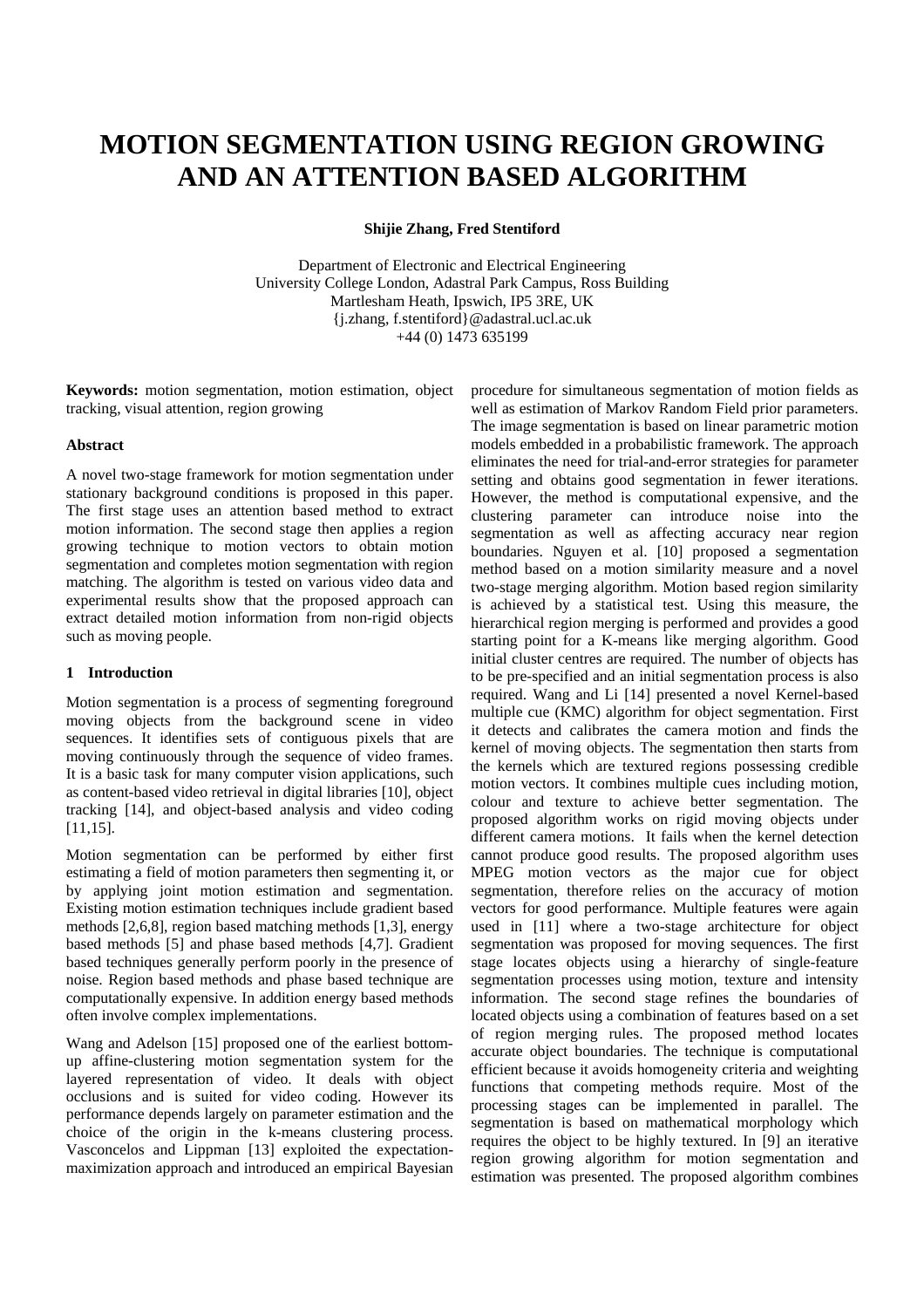# **MOTION SEGMENTATION USING REGION GROWING AND AN ATTENTION BASED ALGORITHM**

**Shijie Zhang, Fred Stentiford** 

Department of Electronic and Electrical Engineering University College London, Adastral Park Campus, Ross Building Martlesham Heath, Ipswich, IP5 3RE, UK {j.zhang, f.stentiford}@adastral.ucl.ac.uk +44 (0) 1473 635199

**Keywords:** motion segmentation, motion estimation, object tracking, visual attention, region growing

## **Abstract**

A novel two-stage framework for motion segmentation under stationary background conditions is proposed in this paper. The first stage uses an attention based method to extract motion information. The second stage then applies a region growing technique to motion vectors to obtain motion segmentation and completes motion segmentation with region matching. The algorithm is tested on various video data and experimental results show that the proposed approach can extract detailed motion information from non-rigid objects such as moving people.

# **1 Introduction**

Motion segmentation is a process of segmenting foreground moving objects from the background scene in video sequences. It identifies sets of contiguous pixels that are moving continuously through the sequence of video frames. It is a basic task for many computer vision applications, such as content-based video retrieval in digital libraries [10], object tracking [14], and object-based analysis and video coding [11,15].

Motion segmentation can be performed by either first estimating a field of motion parameters then segmenting it, or by applying joint motion estimation and segmentation. Existing motion estimation techniques include gradient based methods [2,6,8], region based matching methods [1,3], energy based methods [5] and phase based methods [4,7]. Gradient based techniques generally perform poorly in the presence of noise. Region based methods and phase based technique are computationally expensive. In addition energy based methods often involve complex implementations.

Wang and Adelson [15] proposed one of the earliest bottomup affine-clustering motion segmentation system for the layered representation of video. It deals with object occlusions and is suited for video coding. However its performance depends largely on parameter estimation and the choice of the origin in the k-means clustering process. Vasconcelos and Lippman [13] exploited the expectationmaximization approach and introduced an empirical Bayesian procedure for simultaneous segmentation of motion fields as well as estimation of Markov Random Field prior parameters. The image segmentation is based on linear parametric motion models embedded in a probabilistic framework. The approach eliminates the need for trial-and-error strategies for parameter setting and obtains good segmentation in fewer iterations. However, the method is computational expensive, and the clustering parameter can introduce noise into the segmentation as well as affecting accuracy near region boundaries. Nguyen et al. [10] proposed a segmentation method based on a motion similarity measure and a novel two-stage merging algorithm. Motion based region similarity is achieved by a statistical test. Using this measure, the hierarchical region merging is performed and provides a good starting point for a K-means like merging algorithm. Good initial cluster centres are required. The number of objects has to be pre-specified and an initial segmentation process is also required. Wang and Li [14] presented a novel Kernel-based multiple cue (KMC) algorithm for object segmentation. First it detects and calibrates the camera motion and finds the kernel of moving objects. The segmentation then starts from the kernels which are textured regions possessing credible motion vectors. It combines multiple cues including motion, colour and texture to achieve better segmentation. The proposed algorithm works on rigid moving objects under different camera motions. It fails when the kernel detection cannot produce good results. The proposed algorithm uses MPEG motion vectors as the major cue for object segmentation, therefore relies on the accuracy of motion vectors for good performance. Multiple features were again used in [11] where a two-stage architecture for object segmentation was proposed for moving sequences. The first stage locates objects using a hierarchy of single-feature segmentation processes using motion, texture and intensity information. The second stage refines the boundaries of located objects using a combination of features based on a set of region merging rules. The proposed method locates accurate object boundaries. The technique is computational efficient because it avoids homogeneity criteria and weighting functions that competing methods require. Most of the processing stages can be implemented in parallel. The segmentation is based on mathematical morphology which requires the object to be highly textured. In [9] an iterative region growing algorithm for motion segmentation and estimation was presented. The proposed algorithm combines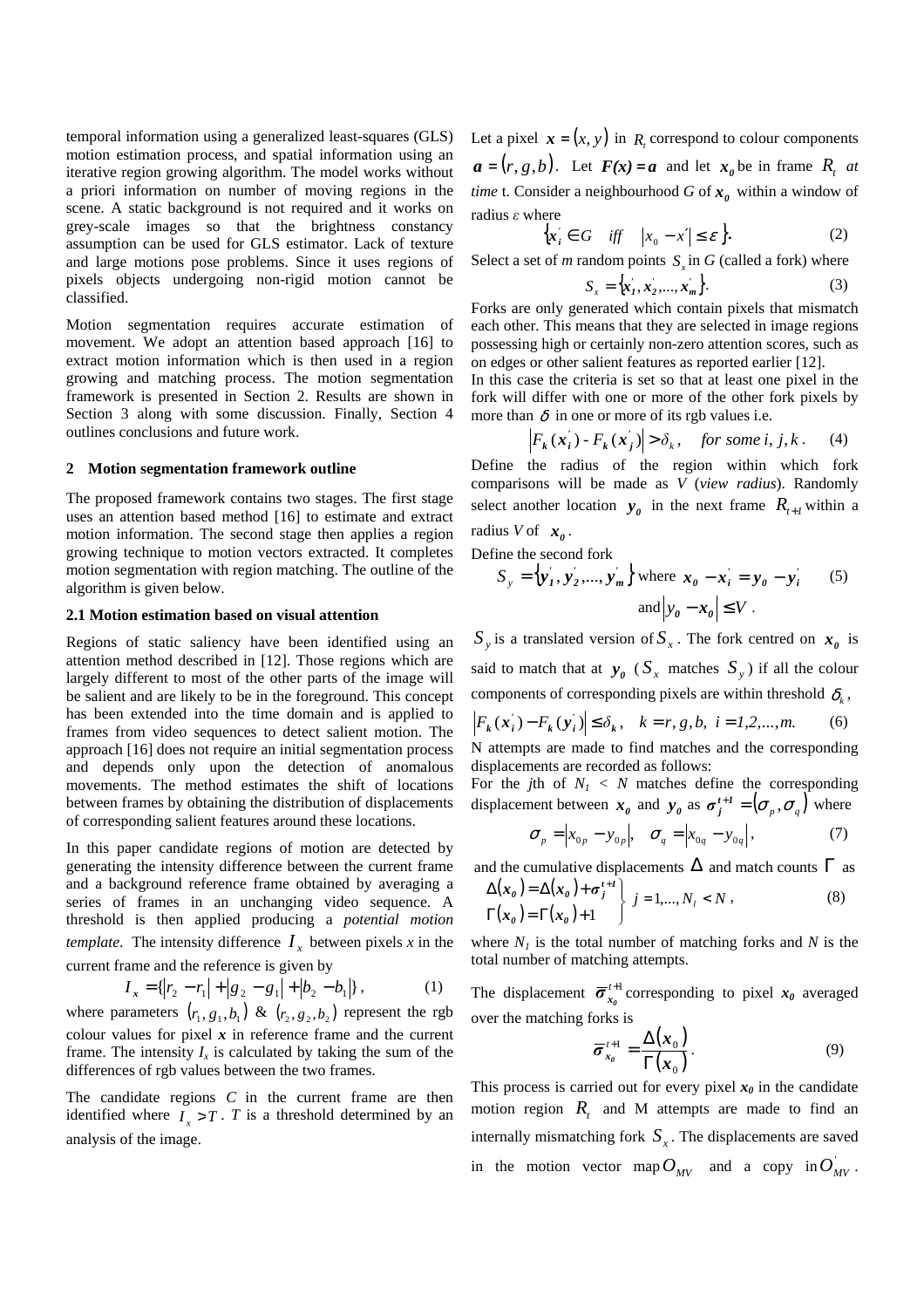temporal information using a generalized least-squares (GLS) motion estimation process, and spatial information using an iterative region growing algorithm. The model works without a priori information on number of moving regions in the scene. A static background is not required and it works on grey-scale images so that the brightness constancy assumption can be used for GLS estimator. Lack of texture and large motions pose problems. Since it uses regions of pixels objects undergoing non-rigid motion cannot be classified.

Motion segmentation requires accurate estimation of movement. We adopt an attention based approach [16] to extract motion information which is then used in a region growing and matching process. The motion segmentation framework is presented in Section 2. Results are shown in Section 3 along with some discussion. Finally, Section 4 outlines conclusions and future work.

### **2 Motion segmentation framework outline**

The proposed framework contains two stages. The first stage uses an attention based method [16] to estimate and extract motion information. The second stage then applies a region growing technique to motion vectors extracted. It completes motion segmentation with region matching. The outline of the algorithm is given below.

#### **2.1 Motion estimation based on visual attention**

Regions of static saliency have been identified using an attention method described in [12]. Those regions which are largely different to most of the other parts of the image will be salient and are likely to be in the foreground. This concept has been extended into the time domain and is applied to frames from video sequences to detect salient motion. The approach [16] does not require an initial segmentation process and depends only upon the detection of anomalous movements. The method estimates the shift of locations between frames by obtaining the distribution of displacements of corresponding salient features around these locations.

In this paper candidate regions of motion are detected by generating the intensity difference between the current frame and a background reference frame obtained by averaging a series of frames in an unchanging video sequence. A threshold is then applied producing a *potential motion template.* The intensity difference  $I_x$  between pixels *x* in the current frame and the reference is given by

$$
I_x = \{|r_2 - r_1| + |g_2 - g_1| + |b_2 - b_1|\},\tag{1}
$$

where parameters  $(r_1, g_1, b_1)$  &  $(r_2, g_2, b_2)$  represent the rgb colour values for pixel *x* in reference frame and the current frame. The intensity  $I_x$  is calculated by taking the sum of the differences of rgb values between the two frames.

The candidate regions *C* in the current frame are then identified where  $I_x > T$ . *T* is a threshold determined by an analysis of the image.

Let a pixel  $\mathbf{x} = (x, y)$  in  $R_t$  correspond to colour components  $a = (r, g, b)$ . Let  $F(x) = a$  and let  $x_0$  be in frame  $R_t$  at *time* t. Consider a neighbourhood  $G$  of  $x_0$  within a window of radius ε where

$$
\left\{ x_{i} \in G \quad \text{iff} \quad \left| x_{0} - x' \right| \leq \varepsilon \right\}.
$$
 (2)

Select a set of *m* random points  $S_x$  in *G* (called a fork) where

$$
S_x = \{x'_1, x'_2, \dots, x'_m\}.
$$
 (3)

Forks are only generated which contain pixels that mismatch each other. This means that they are selected in image regions possessing high or certainly non-zero attention scores, such as on edges or other salient features as reported earlier [12].

In this case the criteria is set so that at least one pixel in the fork will differ with one or more of the other fork pixels by more than  $\delta$  in one or more of its rgb values i.e.

$$
\left| F_k(\mathbf{x}_i') - F_k(\mathbf{x}_j') \right| > \delta_k, \quad \text{for some } i, j, k. \tag{4}
$$

Define the radius of the region within which fork comparisons will be made as *V* (*view radius*). Randomly select another location  $y_0$  in the next frame  $R_{t+1}$  within a radius *V* of  $x_0$ .

Define the second fork

$$
S_y = {\mathbf{y}'_1, \mathbf{y}'_2, ..., \mathbf{y}'_m}
$$
 where  $\mathbf{x}_0 - \mathbf{x}'_i = \mathbf{y}_0 - \mathbf{y}'_i$  (5)  
and  $|\mathbf{y}_0 - \mathbf{x}_0| \le V$ .

 $S_y$  is a translated version of  $S_x$ . The fork centred on  $x_0$  is said to match that at  $y_0$  ( $S_x$  matches  $S_y$ ) if all the colour components of corresponding pixels are within threshold  $\delta_k$ ,

$$
\left| F_k(\mathbf{x}_i) - F_k(\mathbf{y}_i) \right| \le \delta_k, \quad k = r, g, b, \quad i = 1, 2, \dots, m. \tag{6}
$$

N attempts are made to find matches and the corresponding displacements are recorded as follows:

For the *j*th of  $N_I < N$  matches define the corresponding displacement between  $x_0$  and  $y_0$  as  $\sigma_j^{t+1} = (\sigma_p, \sigma_q)$  where

$$
\sigma_p = |x_{0p} - y_{0p}|, \quad \sigma_q = |x_{0q} - y_{0q}|,
$$
 (7)

and the cumulative displacements  $\Delta$  and match counts  $\Gamma$  as

$$
\Delta(\mathbf{x}_0) = \Delta(\mathbf{x}_0) + \sigma_j^{t+1} \nvert j = 1,..., N_l < N \,,
$$
\n
$$
\Gamma(\mathbf{x}_0) = \Gamma(\mathbf{x}_0) + 1 \nvert j = 1,..., N_l < N \,,
$$
\n
$$
(8)
$$

where  $N_I$  is the total number of matching forks and  $N$  is the total number of matching attempts.

The displacement  $\overline{\sigma}_{x_0}^{t+1}$  corresponding to pixel  $x_0$  averaged over the matching forks is

$$
\overline{\sigma}_{x_0}^{\ t+1} = \frac{\Delta(x_0)}{\Gamma(x_0)}.
$$
 (9)

This process is carried out for every pixel  $x_0$  in the candidate motion region  $R_t$  and M attempts are made to find an internally mismatching fork  $S<sub>x</sub>$ . The displacements are saved in the motion vector map  $O_{MV}$  and a copy in  $O_{MV}$ .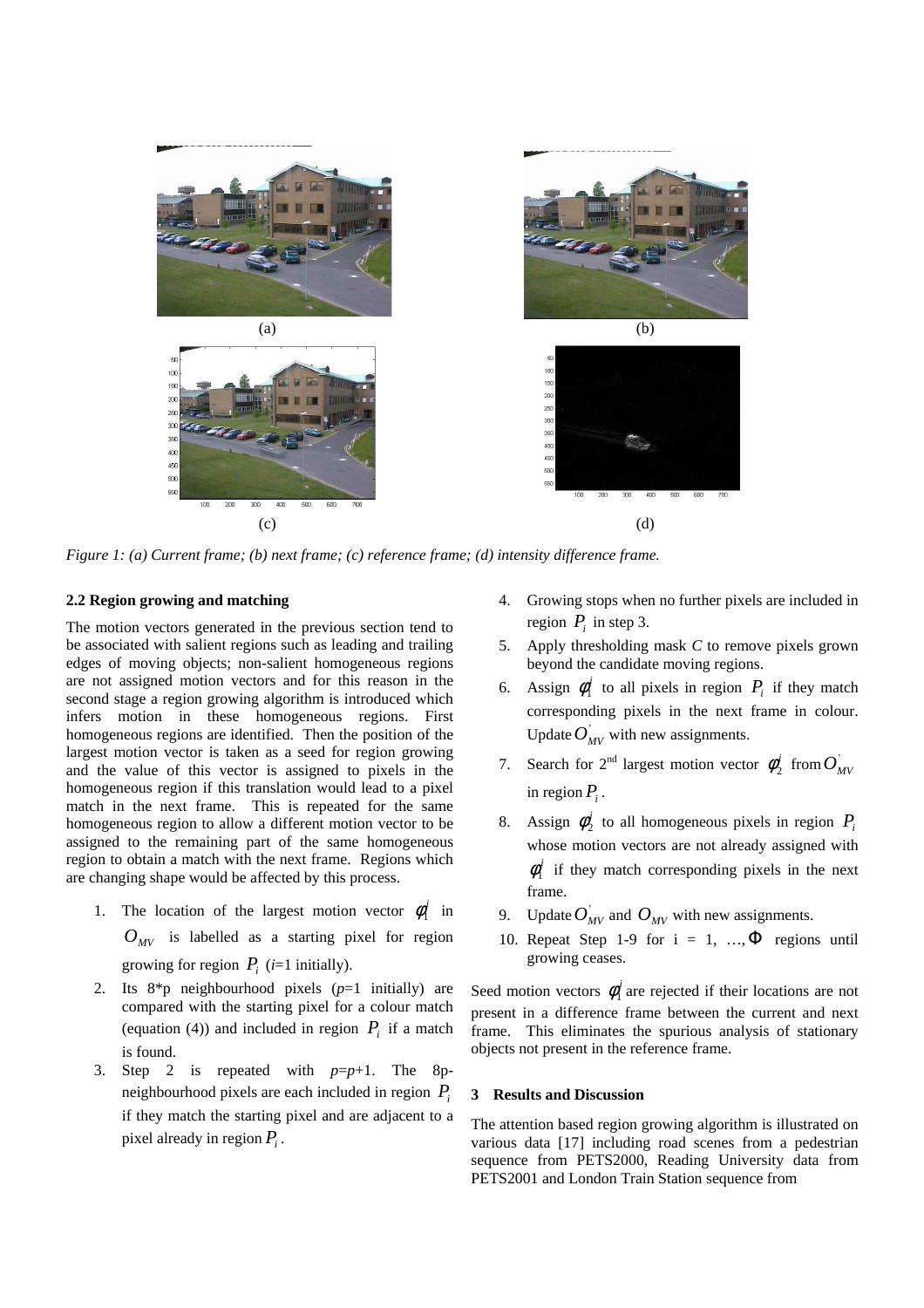

*Figure 1: (a) Current frame; (b) next frame; (c) reference frame; (d) intensity difference frame.*

# **2.2 Region growing and matching**

The motion vectors generated in the previous section tend to be associated with salient regions such as leading and trailing edges of moving objects; non-salient homogeneous regions are not assigned motion vectors and for this reason in the second stage a region growing algorithm is introduced which infers motion in these homogeneous regions. First homogeneous regions are identified. Then the position of the largest motion vector is taken as a seed for region growing and the value of this vector is assigned to pixels in the homogeneous region if this translation would lead to a pixel match in the next frame. This is repeated for the same homogeneous region to allow a different motion vector to be assigned to the remaining part of the same homogeneous region to obtain a match with the next frame. Regions which are changing shape would be affected by this process.

- 1. The location of the largest motion vector  $\phi_1^i$  in  $O_{MV}$  is labelled as a starting pixel for region growing for region  $P_i$  (*i*=1 initially).
- 2. Its 8\*p neighbourhood pixels (*p*=1 initially) are compared with the starting pixel for a colour match (equation (4)) and included in region  $P_i$  if a match is found.
- 3. Step 2 is repeated with *p*=*p*+1. The 8pneighbourhood pixels are each included in region *P<sup>i</sup>* if they match the starting pixel and are adjacent to a pixel already in region *P<sup>i</sup>* .
- 4. Growing stops when no further pixels are included in region  $P_i$  in step 3.
- 5. Apply thresholding mask *C* to remove pixels grown beyond the candidate moving regions.
- 6. Assign  $\phi_1^i$  to all pixels in region  $P_i$  if they match corresponding pixels in the next frame in colour. Update  $O_{MV}$  with new assignments.
- 7. Search for  $2^{nd}$  largest motion vector  $\phi_2^i$  from  $O_{MV}$ in region  $P_i$ .
- 8. Assign  $\phi_2^i$  to all homogeneous pixels in region  $P_i$ whose motion vectors are not already assigned with  $\phi_1^i$  if they match corresponding pixels in the next frame.
- 9. Update  $O_{MV}$  and  $O_{MV}$  with new assignments.
- 10. Repeat Step 1-9 for  $i = 1, ..., \Phi$  regions until growing ceases.

Seed motion vectors  $\phi_1^i$  are rejected if their locations are not present in a difference frame between the current and next frame. This eliminates the spurious analysis of stationary objects not present in the reference frame.

# **3 Results and Discussion**

The attention based region growing algorithm is illustrated on various data [17] including road scenes from a pedestrian sequence from PETS2000, Reading University data from PETS2001 and London Train Station sequence from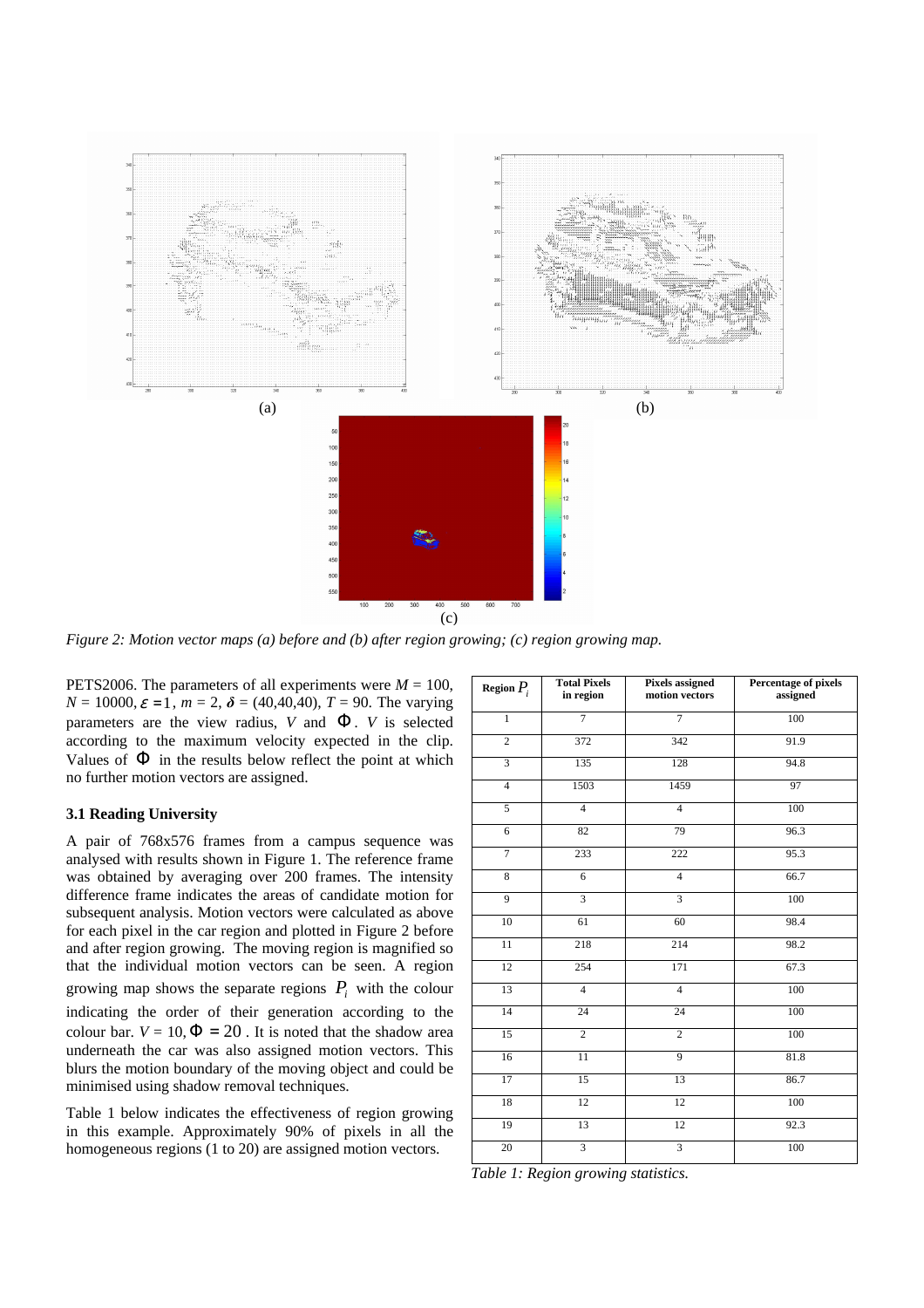

*Figure 2: Motion vector maps (a) before and (b) after region growing; (c) region growing map.* 

PETS2006. The parameters of all experiments were  $M = 100$ ,  $N = 10000, \varepsilon = 1, m = 2, \delta = (40, 40, 40), T = 90$ . The varying parameters are the view radius, *V* and  $\Phi$ . *V* is selected according to the maximum velocity expected in the clip. Values of  $\Phi$  in the results below reflect the point at which no further motion vectors are assigned.

# **3.1 Reading University**

A pair of 768x576 frames from a campus sequence was analysed with results shown in Figure 1. The reference frame was obtained by averaging over 200 frames. The intensity difference frame indicates the areas of candidate motion for subsequent analysis. Motion vectors were calculated as above for each pixel in the car region and plotted in Figure 2 before and after region growing. The moving region is magnified so that the individual motion vectors can be seen. A region growing map shows the separate regions  $P_i$  with the colour indicating the order of their generation according to the colour bar.  $V = 10$ ,  $\Phi = 20$ . It is noted that the shadow area underneath the car was also assigned motion vectors. This blurs the motion boundary of the moving object and could be minimised using shadow removal techniques.

Table 1 below indicates the effectiveness of region growing in this example. Approximately 90% of pixels in all the homogeneous regions (1 to 20) are assigned motion vectors.

| Region $P_i$            | <b>Total Pixels</b><br>in region | Pixels assigned<br>motion vectors | Percentage of pixels<br>assigned |
|-------------------------|----------------------------------|-----------------------------------|----------------------------------|
| $\overline{1}$          | $\overline{7}$                   | $\overline{7}$                    | 100                              |
| $\overline{2}$          | 372                              | 342                               | 91.9                             |
| $\overline{\mathbf{3}}$ | 135                              | 128                               | 94.8                             |
| $\overline{4}$          | 1503                             | 1459                              | 97                               |
| $\overline{5}$          | $\overline{4}$                   | $\overline{4}$                    | 100                              |
| $\overline{6}$          | 82                               | 79                                | 96.3                             |
| $\boldsymbol{7}$        | 233                              | 222                               | 95.3                             |
| 8                       | $\overline{6}$                   | $\overline{4}$                    | 66.7                             |
| 9                       | $\overline{\mathbf{3}}$          | $\overline{3}$                    | 100                              |
| 10                      | 61                               | 60                                | 98.4                             |
| 11                      | 218                              | 214                               | 98.2                             |
| 12                      | 254                              | 171                               | 67.3                             |
| 13                      | $\overline{4}$                   | $\overline{4}$                    | 100                              |
| 14                      | $\overline{24}$                  | 24                                | 100                              |
| 15                      | $\overline{2}$                   | $\overline{2}$                    | 100                              |
| 16                      | $\overline{11}$                  | $\overline{9}$                    | 81.8                             |
| $\overline{17}$         | $\overline{15}$                  | 13                                | 86.7                             |
| 18                      | 12                               | 12                                | 100                              |
| 19                      | 13                               | 12                                | 92.3                             |
| 20                      | $\overline{\mathbf{3}}$          | 3                                 | 100                              |

*Table 1: Region growing statistics.*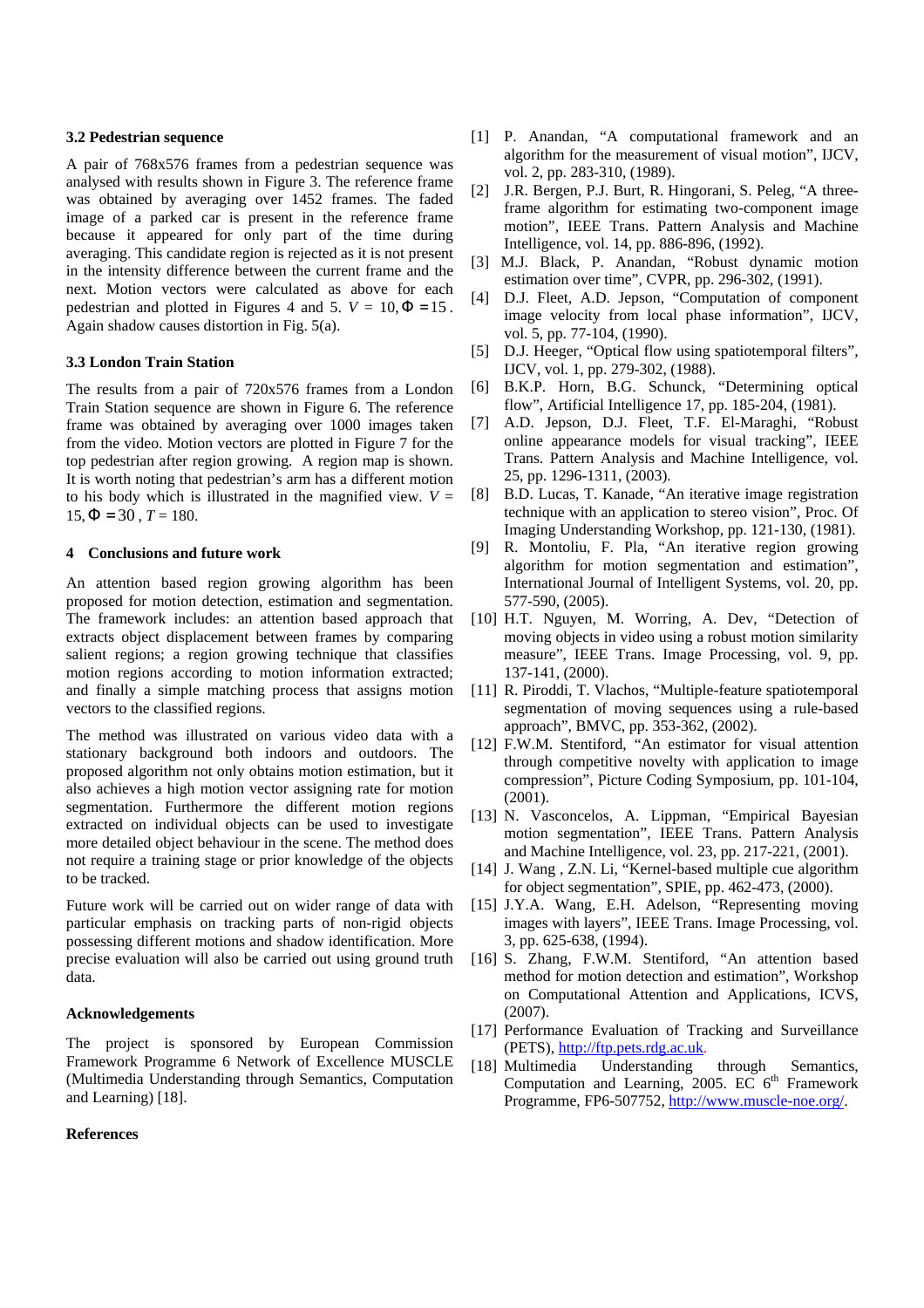### **3.2 Pedestrian sequence**

A pair of 768x576 frames from a pedestrian sequence was analysed with results shown in Figure 3. The reference frame was obtained by averaging over 1452 frames. The faded image of a parked car is present in the reference frame because it appeared for only part of the time during averaging. This candidate region is rejected as it is not present in the intensity difference between the current frame and the next. Motion vectors were calculated as above for each pedestrian and plotted in Figures 4 and 5.  $V = 10, \Phi = 15$ . Again shadow causes distortion in Fig. 5(a).

## **3.3 London Train Station**

The results from a pair of 720x576 frames from a London Train Station sequence are shown in Figure 6. The reference frame was obtained by averaging over 1000 images taken from the video. Motion vectors are plotted in Figure 7 for the top pedestrian after region growing. A region map is shown. It is worth noting that pedestrian's arm has a different motion to his body which is illustrated in the magnified view.  $V =$  $15, \Phi = 30, T = 180.$ 

# **4 Conclusions and future work**

An attention based region growing algorithm has been proposed for motion detection, estimation and segmentation. The framework includes: an attention based approach that extracts object displacement between frames by comparing salient regions; a region growing technique that classifies motion regions according to motion information extracted; and finally a simple matching process that assigns motion vectors to the classified regions.

The method was illustrated on various video data with a stationary background both indoors and outdoors. The proposed algorithm not only obtains motion estimation, but it also achieves a high motion vector assigning rate for motion segmentation. Furthermore the different motion regions extracted on individual objects can be used to investigate more detailed object behaviour in the scene. The method does not require a training stage or prior knowledge of the objects to be tracked.

Future work will be carried out on wider range of data with particular emphasis on tracking parts of non-rigid objects possessing different motions and shadow identification. More precise evaluation will also be carried out using ground truth data.

## **Acknowledgements**

The project is sponsored by European Commission Framework Programme 6 Network of Excellence MUSCLE (Multimedia Understanding through Semantics, Computation and Learning) [18].

# **References**

- [1] P. Anandan, "A computational framework and an algorithm for the measurement of visual motion", IJCV, vol. 2, pp. 283-310, (1989).
- [2] J.R. Bergen, P.J. Burt, R. Hingorani, S. Peleg, "A threeframe algorithm for estimating two-component image motion", IEEE Trans. Pattern Analysis and Machine Intelligence, vol. 14, pp. 886-896, (1992).
- [3] M.J. Black, P. Anandan, "Robust dynamic motion estimation over time", CVPR, pp. 296-302, (1991).
- [4] D.J. Fleet, A.D. Jepson, "Computation of component image velocity from local phase information", IJCV, vol. 5, pp. 77-104, (1990).
- [5] D.J. Heeger, "Optical flow using spatiotemporal filters", IJCV, vol. 1, pp. 279-302, (1988).
- [6] B.K.P. Horn, B.G. Schunck, "Determining optical flow", Artificial Intelligence 17, pp. 185-204, (1981).
- [7] A.D. Jepson, D.J. Fleet, T.F. El-Maraghi, "Robust online appearance models for visual tracking", IEEE Trans. Pattern Analysis and Machine Intelligence, vol. 25, pp. 1296-1311, (2003).
- [8] B.D. Lucas, T. Kanade, "An iterative image registration technique with an application to stereo vision", Proc. Of Imaging Understanding Workshop, pp. 121-130, (1981).
- [9] R. Montoliu, F. Pla, "An iterative region growing algorithm for motion segmentation and estimation", International Journal of Intelligent Systems, vol. 20, pp. 577-590, (2005).
- [10] H.T. Nguyen, M. Worring, A. Dev, "Detection of moving objects in video using a robust motion similarity measure", IEEE Trans. Image Processing, vol. 9, pp. 137-141, (2000).
- [11] R. Piroddi, T. Vlachos, "Multiple-feature spatiotemporal segmentation of moving sequences using a rule-based approach", BMVC, pp. 353-362, (2002).
- [12] F.W.M. Stentiford, "An estimator for visual attention through competitive novelty with application to image compression", Picture Coding Symposium, pp. 101-104, (2001).
- [13] N. Vasconcelos, A. Lippman, "Empirical Bayesian motion segmentation", IEEE Trans. Pattern Analysis and Machine Intelligence, vol. 23, pp. 217-221, (2001).
- [14] J. Wang , Z.N. Li, "Kernel-based multiple cue algorithm for object segmentation", SPIE, pp. 462-473, (2000).
- [15] J.Y.A. Wang, E.H. Adelson, "Representing moving images with layers", IEEE Trans. Image Processing, vol. 3, pp. 625-638, (1994).
- [16] S. Zhang, F.W.M. Stentiford, "An attention based method for motion detection and estimation", Workshop on Computational Attention and Applications, ICVS, (2007).
- [17] Performance Evaluation of Tracking and Surveillance (PETS), http://ftp.pets.rdg.ac.uk.
- [18] Multimedia Understanding through Semantics, Computation and Learning, 2005. EC  $6<sup>th</sup>$  Framework Programme, FP6-507752, http://www.muscle-noe.org/.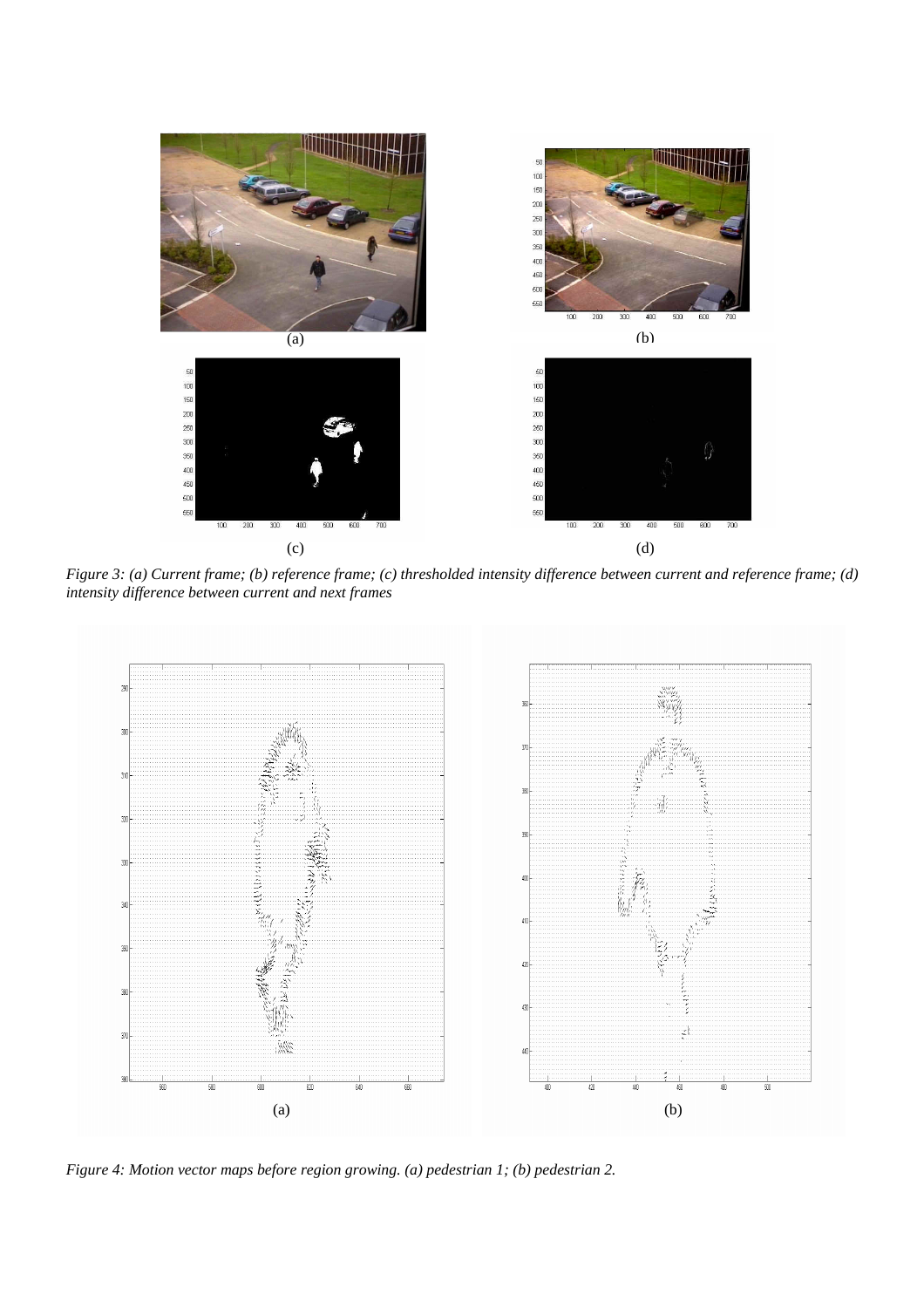

*Figure 3: (a) Current frame; (b) reference frame; (c) thresholded intensity difference between current and reference frame; (d) intensity difference between current and next frames* 



*Figure 4: Motion vector maps before region growing. (a) pedestrian 1; (b) pedestrian 2.*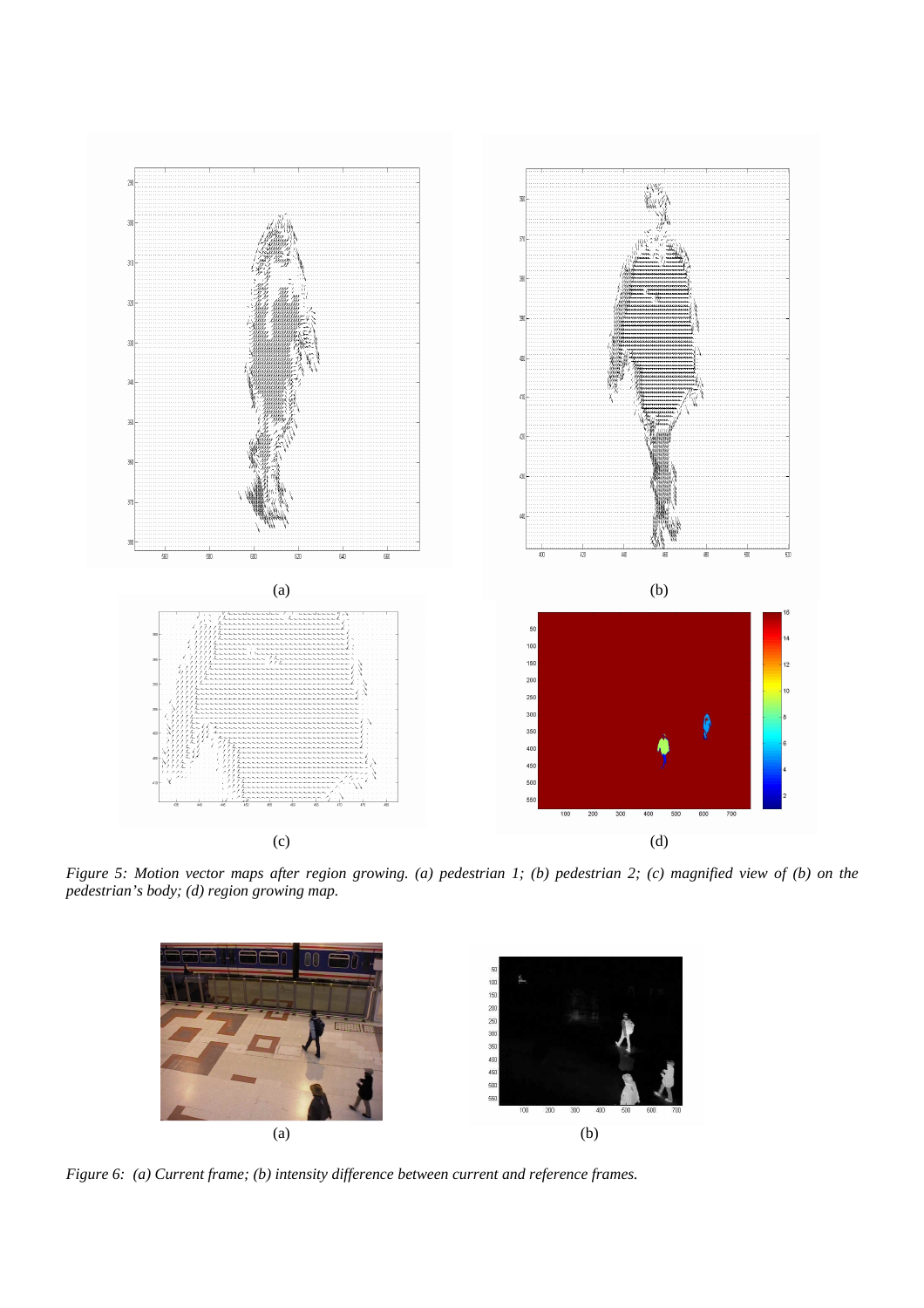

*Figure 5: Motion vector maps after region growing. (a) pedestrian 1; (b) pedestrian 2; (c) magnified view of (b) on the pedestrian's body; (d) region growing map.* 



*Figure 6: (a) Current frame; (b) intensity difference between current and reference frames.*